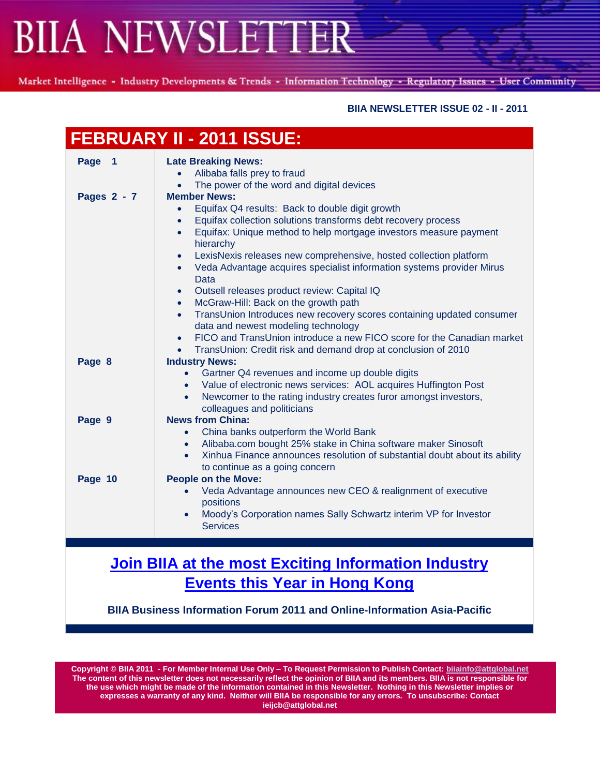Market Intelligence - Industry Developments & Trends - Information Technology - Regulatory Issues - User Community

### **BIIA NEWSLETTER ISSUE 02 - II - 2011**

| <b>FEBRUARY II - 2011 ISSUE:</b> |                                                                                                                                                                                                                                                                                                                                                                                                                                                                                                                                                                                                                                                                                                                                                                                                                                                                     |
|----------------------------------|---------------------------------------------------------------------------------------------------------------------------------------------------------------------------------------------------------------------------------------------------------------------------------------------------------------------------------------------------------------------------------------------------------------------------------------------------------------------------------------------------------------------------------------------------------------------------------------------------------------------------------------------------------------------------------------------------------------------------------------------------------------------------------------------------------------------------------------------------------------------|
| Page 1                           | <b>Late Breaking News:</b><br>Alibaba falls prey to fraud<br>$\bullet$<br>The power of the word and digital devices<br>$\bullet$                                                                                                                                                                                                                                                                                                                                                                                                                                                                                                                                                                                                                                                                                                                                    |
| Pages 2 - 7                      | <b>Member News:</b><br>Equifax Q4 results: Back to double digit growth<br>$\bullet$<br>Equifax collection solutions transforms debt recovery process<br>$\bullet$<br>Equifax: Unique method to help mortgage investors measure payment<br>$\bullet$<br>hierarchy<br>LexisNexis releases new comprehensive, hosted collection platform<br>$\bullet$<br>Veda Advantage acquires specialist information systems provider Mirus<br>$\bullet$<br>Data<br>Outsell releases product review: Capital IQ<br>$\bullet$<br>McGraw-Hill: Back on the growth path<br>$\bullet$<br>TransUnion Introduces new recovery scores containing updated consumer<br>$\bullet$<br>data and newest modeling technology<br>FICO and TransUnion introduce a new FICO score for the Canadian market<br>$\bullet$<br>TransUnion: Credit risk and demand drop at conclusion of 2010<br>$\bullet$ |
| Page 8                           | <b>Industry News:</b><br>Gartner Q4 revenues and income up double digits<br>$\bullet$<br>• Value of electronic news services: AOL acquires Huffington Post<br>Newcomer to the rating industry creates furor amongst investors,<br>$\bullet$<br>colleagues and politicians                                                                                                                                                                                                                                                                                                                                                                                                                                                                                                                                                                                           |
| Page 9                           | <b>News from China:</b><br>China banks outperform the World Bank<br>$\bullet$<br>Alibaba.com bought 25% stake in China software maker Sinosoft<br>$\bullet$<br>Xinhua Finance announces resolution of substantial doubt about its ability<br>to continue as a going concern                                                                                                                                                                                                                                                                                                                                                                                                                                                                                                                                                                                         |
| Page 10                          | <b>People on the Move:</b><br>Veda Advantage announces new CEO & realignment of executive<br>$\bullet$<br>positions<br>Moody's Corporation names Sally Schwartz interim VP for Investor<br>$\bullet$<br><b>Services</b>                                                                                                                                                                                                                                                                                                                                                                                                                                                                                                                                                                                                                                             |

### **[Join BIIA at the most Exciting Information Industry](http://www.biia.com/join-biia-at-the-most-exiting-information-industry-event-this-year-in-hong-kong)  Events [this Year in Hong Kong](http://www.biia.com/join-biia-at-the-most-exiting-information-industry-event-this-year-in-hong-kong)**

**BIIA Business Information Forum 2011 and Online-Information Asia-Pacific**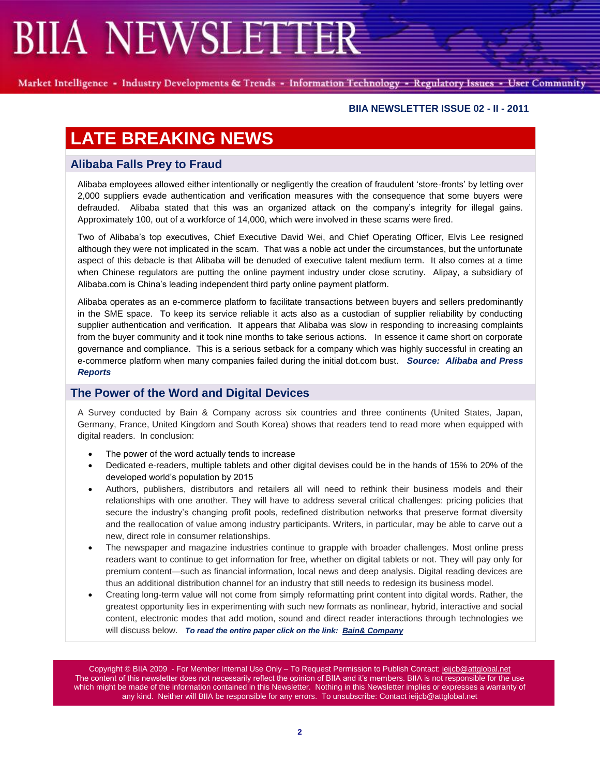Market Intelligence - Industry Developments & Trends - Information Technology - Regulatory Issues - User Community

### **BIIA NEWSLETTER ISSUE 02 - II - 2011**

### **LATE BREAKING NEWS**

### **Alibaba Falls Prey to Fraud**

Alibaba employees allowed either intentionally or negligently the creation of fraudulent 'store-fronts' by letting over 2,000 suppliers evade authentication and verification measures with the consequence that some buyers were defrauded. Alibaba stated that this was an organized attack on the company's integrity for illegal gains. Approximately 100, out of a workforce of 14,000, which were involved in these scams were fired.

Two of Alibaba's top executives, Chief Executive David Wei, and Chief Operating Officer, Elvis Lee resigned although they were not implicated in the scam. That was a noble act under the circumstances, but the unfortunate aspect of this debacle is that Alibaba will be denuded of executive talent medium term. It also comes at a time when Chinese regulators are putting the online payment industry under close scrutiny. Alipay, a subsidiary of Alibaba.com is China's leading independent third party online payment platform.

Alibaba operates as an e-commerce platform to facilitate transactions between buyers and sellers predominantly in the SME space. To keep its service reliable it acts also as a custodian of supplier reliability by conducting supplier authentication and verification. It appears that Alibaba was slow in responding to increasing complaints from the buyer community and it took nine months to take serious actions. In essence it came short on corporate governance and compliance. This is a serious setback for a company which was highly successful in creating an e-commerce platform when many companies failed during the initial dot.com bust. *Source: Alibaba and Press Reports*

### **The Power of the Word and Digital Devices**

A Survey conducted by Bain & Company across six countries and three continents (United States, Japan, Germany, France, United Kingdom and South Korea) shows that readers tend to read more when equipped with digital readers. In conclusion:

- The power of the word actually tends to increase
- Dedicated e-readers, multiple tablets and other digital devises could be in the hands of 15% to 20% of the developed world's population by 2015
- Authors, publishers, distributors and retailers all will need to rethink their business models and their relationships with one another. They will have to address several critical challenges: pricing policies that secure the industry's changing profit pools, redefined distribution networks that preserve format diversity and the reallocation of value among industry participants. Writers, in particular, may be able to carve out a new, direct role in consumer relationships.
- The newspaper and magazine industries continue to grapple with broader challenges. Most online press readers want to continue to get information for free, whether on digital tablets or not. They will pay only for premium content—such as financial information, local news and deep analysis. Digital reading devices are thus an additional distribution channel for an industry that still needs to redesign its business model.
- Creating long-term value will not come from simply reformatting print content into digital words. Rather, the greatest opportunity lies in experimenting with such new formats as nonlinear, hybrid, interactive and social content, electronic modes that add motion, sound and direct reader interactions through technologies we will discuss below. *To read the entire paper click on the link: [Bain& Company](http://www.bain.com/bainweb/PDFs/cms/Public/BB_Publishing_in_the_digital_era.pdf)*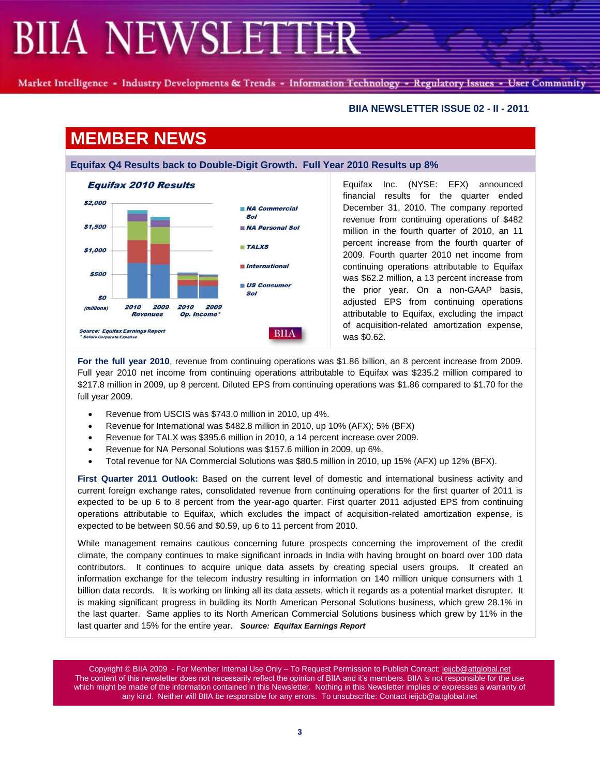Market Intelligence - Industry Developments & Trends - Information Technology - Regulatory Issues - User Community

#### **BIIA NEWSLETTER ISSUE 02 - II - 2011**

### **MEMBER NEWS**

**Equifax Q4 Results back to Double-Digit Growth. Full Year 2010 Results up 8%**



Equifax Inc. (NYSE: EFX) announced financial results for the quarter ended December 31, 2010. The company reported revenue from continuing operations of \$482 million in the fourth quarter of 2010, an 11 percent increase from the fourth quarter of 2009. Fourth quarter 2010 net income from continuing operations attributable to Equifax was \$62.2 million, a 13 percent increase from the prior year. On a non-GAAP basis, adjusted EPS from continuing operations attributable to Equifax, excluding the impact of acquisition-related amortization expense, was \$0.62.

**For the full year 2010**, revenue from continuing operations was \$1.86 billion, an 8 percent increase from 2009. Full year 2010 net income from continuing operations attributable to Equifax was \$235.2 million compared to \$217.8 million in 2009, up 8 percent. Diluted EPS from continuing operations was \$1.86 compared to \$1.70 for the full year 2009.

- Revenue from USCIS was \$743.0 million in 2010, up 4%.
- Revenue for International was \$482.8 million in 2010, up 10% (AFX); 5% (BFX)
- Revenue for TALX was \$395.6 million in 2010, a 14 percent increase over 2009.
- Revenue for NA Personal Solutions was \$157.6 million in 2009, up 6%.
- Total revenue for NA Commercial Solutions was \$80.5 million in 2010, up 15% (AFX) up 12% (BFX).

**First Quarter 2011 Outlook:** Based on the current level of domestic and international business activity and current foreign exchange rates, consolidated revenue from continuing operations for the first quarter of 2011 is expected to be up 6 to 8 percent from the year-ago quarter. First quarter 2011 adjusted EPS from continuing operations attributable to Equifax, which excludes the impact of acquisition-related amortization expense, is expected to be between \$0.56 and \$0.59, up 6 to 11 percent from 2010.

While management remains cautious concerning future prospects concerning the improvement of the credit climate, the company continues to make significant inroads in India with having brought on board over 100 data contributors. It continues to acquire unique data assets by creating special users groups. It created an information exchange for the telecom industry resulting in information on 140 million unique consumers with 1 billion data records. It is working on linking all its data assets, which it regards as a potential market disrupter. It is making significant progress in building its North American Personal Solutions business, which grew 28.1% in the last quarter. Same applies to its North American Commercial Solutions business which grew by 11% in the last quarter and 15% for the entire year. *Source: Equifax Earnings Report*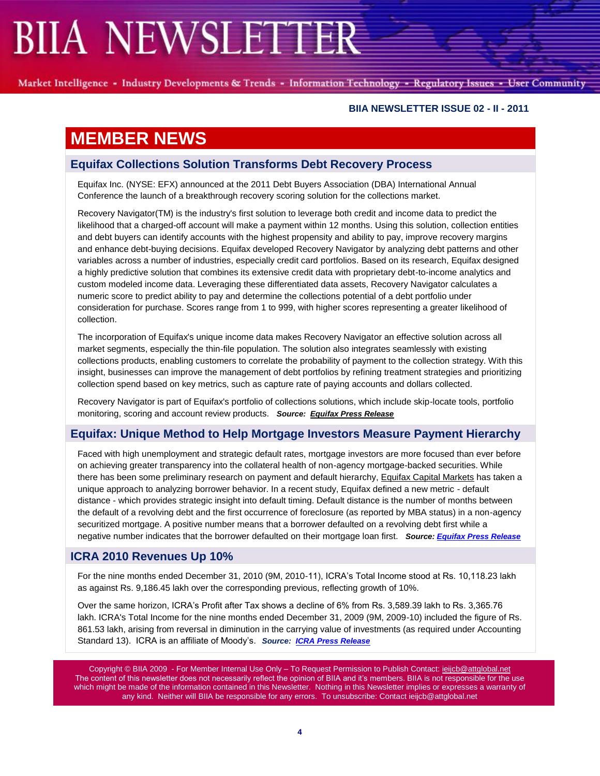Market Intelligence - Industry Developments & Trends - Information Technology - Regulatory Issues - User Community

#### **BIIA NEWSLETTER ISSUE 02 - II - 2011**

### **MEMBER NEWS**

### **Equifax Collections Solution Transforms Debt Recovery Process**

Equifax Inc. (NYSE: EFX) announced at the 2011 Debt Buyers Association (DBA) International Annual Conference the launch of a breakthrough recovery scoring solution for the collections market.

Recovery Navigator(TM) is the industry's first solution to leverage both credit and income data to predict the likelihood that a charged-off account will make a payment within 12 months. Using this solution, collection entities and debt buyers can identify accounts with the highest propensity and ability to pay, improve recovery margins and enhance debt-buying decisions. Equifax developed Recovery Navigator by analyzing debt patterns and other variables across a number of industries, especially credit card portfolios. Based on its research, Equifax designed a highly predictive solution that combines its extensive credit data with proprietary debt-to-income analytics and custom modeled income data. Leveraging these differentiated data assets, Recovery Navigator calculates a numeric score to predict ability to pay and determine the collections potential of a debt portfolio under consideration for purchase. Scores range from 1 to 999, with higher scores representing a greater likelihood of collection.

The incorporation of Equifax's unique income data makes Recovery Navigator an effective solution across all market segments, especially the thin-file population. The solution also integrates seamlessly with existing collections products, enabling customers to correlate the probability of payment to the collection strategy. With this insight, businesses can improve the management of debt portfolios by refining treatment strategies and prioritizing collection spend based on key metrics, such as capture rate of paying accounts and dollars collected.

Recovery Navigator is part of Equifax's portfolio of collections solutions, which include skip-locate tools, portfolio monitoring, scoring and account review products. *Source: [Equifax Press Release](http://www.equifax.com/cs7/Satellite?c=EFX_Page_C&childpagename=US%2FEFX_Page_C%2FPressReleaseIframe&cid=1182374862492&p=1182374863790&packedargs=locale%3Den_us&pagename=EFX%2FWrapper)*

### **Equifax: Unique Method to Help Mortgage Investors Measure Payment Hierarchy**

Faced with high unemployment and strategic default rates, mortgage investors are more focused than ever before on achieving greater transparency into the collateral health of non-agency mortgage-backed securities. While there has been some preliminary research on payment and default hierarchy, [Equifax Capital Markets](http://www.equifax.com/capitalmarkets) has taken a unique approach to analyzing borrower behavior. In a recent study, Equifax defined a new metric - default distance - which provides strategic insight into default timing. Default distance is the number of months between the default of a revolving debt and the first occurrence of foreclosure (as reported by MBA status) in a non-agency securitized mortgage. A positive number means that a borrower defaulted on a revolving debt first while a negative number indicates that the borrower defaulted on their mortgage loan first. *Source: [Equifax Press Release](http://www.equifax.com/cs7/Satellite?c=EFX_Page_C&childpagename=US%2FEFX_Page_C%2FPressReleaseIframe&cid=1182374862492&p=1182374863790&packedargs=locale%3Den_us&pagename=EFX%2FWrapper)*

### **ICRA 2010 Revenues Up 10%**

For the nine months ended December 31, 2010 (9M, 2010-11), ICRA's Total Income stood at Rs. 10,118.23 lakh as against Rs. 9,186.45 lakh over the corresponding previous, reflecting growth of 10%.

Over the same horizon, ICRA's Profit after Tax shows a decline of 6% from Rs. 3,589.39 lakh to Rs. 3,365.76 lakh. ICRA's Total Income for the nine months ended December 31, 2009 (9M, 2009-10) included the figure of Rs. 861.53 lakh, arising from reversal in diminution in the carrying value of investments (as required under Accounting Standard 13). ICRA is an affiliate of Moody's. *Source: [ICRA Press Release](http://www.icra.in/files/pdf/Investors/PR-UFR-201012.pdf)*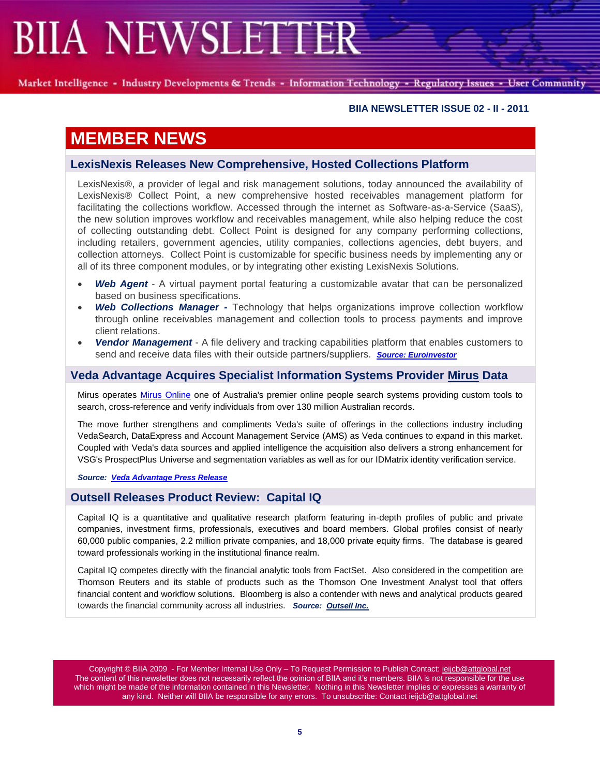Market Intelligence - Industry Developments & Trends - Information Technology - Regulatory Issues - User Community

#### **BIIA NEWSLETTER ISSUE 02 - II - 2011**

### **MEMBER NEWS**

### **LexisNexis Releases New Comprehensive, Hosted Collections Platform**

LexisNexis®, a provider of legal and risk management solutions, today announced the availability of LexisNexis® Collect Point, a new comprehensive hosted receivables management platform for facilitating the collections workflow. Accessed through the internet as Software-as-a-Service (SaaS), the new solution improves workflow and receivables management, while also helping reduce the cost of collecting outstanding debt. Collect Point is designed for any company performing collections, including retailers, government agencies, utility companies, collections agencies, debt buyers, and collection attorneys. Collect Point is customizable for specific business needs by implementing any or all of its three component modules, or by integrating other existing LexisNexis Solutions.

- *Web Agent* A virtual payment portal featuring a customizable avatar that can be personalized based on business specifications.
- *Web Collections Manager -* Technology that helps organizations improve collection workflow through online receivables management and collection tools to process payments and improve client relations.
- *Vendor Management* A file delivery and tracking capabilities platform that enables customers to send and receive data files with their outside partners/suppliers. *[Source: Euroinvestor](http://www.euroinvestor.co.uk/news/story.aspx?id=11579845&bw=20110207005408)*

### **Veda Advantage Acquires Specialist Information Systems Provider [Mirus](http://www.mirus.com.au/) Data**

Mirus operates [Mirus Online](http://www.mirusonline.com.au/) one of Australia's premier online people search systems providing custom tools to search, cross-reference and verify individuals from over 130 million Australian records.

The move further strengthens and compliments Veda's suite of offerings in the collections industry including VedaSearch, DataExpress and Account Management Service (AMS) as Veda continues to expand in this market. Coupled with Veda's data sources and applied intelligence the acquisition also delivers a strong enhancement for VSG's ProspectPlus Universe and segmentation variables as well as for our IDMatrix identity verification service.

#### *Source: Veda [Advantage Press Release](http://www.vedaadvantage.com/news-and-media/article.dot?id=517126)*

### **Outsell Releases Product Review: Capital IQ**

Capital IQ is a quantitative and qualitative research platform featuring in-depth profiles of public and private companies, investment firms, professionals, executives and board members. Global profiles consist of nearly 60,000 public companies, 2.2 million private companies, and 18,000 private equity firms. The database is geared toward professionals working in the institutional finance realm.

Capital IQ competes directly with the financial analytic tools from FactSet. Also considered in the competition are Thomson Reuters and its stable of products such as the Thomson One Investment Analyst tool that offers financial content and workflow solutions. Bloomberg is also a contender with news and analytical products geared towards the financial community across all industries. *Source: [Outsell Inc.](http://www.outsellinc.com/data/product_reviews/show/676-outsell-product-review-capital-iq)*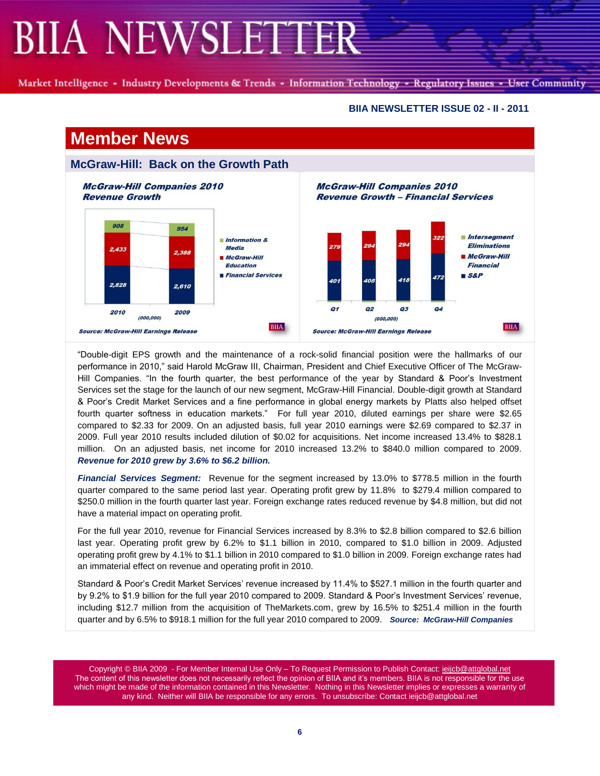Market Intelligence - Industry Developments & Trends - Information Technology - Regulatory Issues - User Community

#### **BIIA NEWSLETTER ISSUE 02 - II - 2011**

**BIIA** 

#### **Member News McGraw-Hill: Back on the Growth Path McGraw-Hill Companies 2010 McGraw-Hill Companies 2010 Revenue Growth Revenue Growth - Financial Services**  $908$ 954 **Intersegment**  $Information 8$ **Eliminations Media** 2,433 2.388 McGraw-Hill McGraw-Hill **Education Financial Financial Services**  $S\&P$ 472 2.828 2.610  $Q<sub>1</sub>$  $Q2$  $Q<sub>3</sub>$ 04  $2010$  $2009$  $(000, 000)$  $(000, 000)$ **BIIA Source: McGraw-Hill Earnings Release Source: McGraw-Hill Earnings Release**

―Double-digit EPS growth and the maintenance of a rock-solid financial position were the hallmarks of our performance in 2010," said Harold McGraw III, Chairman, President and Chief Executive Officer of The McGraw-Hill Companies. "In the fourth quarter, the best performance of the year by Standard & Poor's Investment Services set the stage for the launch of our new segment, McGraw-Hill Financial. Double-digit growth at Standard & Poor's Credit Market Services and a fine performance in global energy markets by Platts also helped offset fourth quarter softness in education markets.‖ For full year 2010, diluted earnings per share were \$2.65 compared to \$2.33 for 2009. On an adjusted basis, full year 2010 earnings were \$2.69 compared to \$2.37 in 2009. Full year 2010 results included dilution of \$0.02 for acquisitions. Net income increased 13.4% to \$828.1 million. On an adjusted basis, net income for 2010 increased 13.2% to \$840.0 million compared to 2009. *Revenue for 2010 grew by 3.6% to \$6.2 billion.*

*Financial Services Segment:* Revenue for the segment increased by 13.0% to \$778.5 million in the fourth quarter compared to the same period last year. Operating profit grew by 11.8% to \$279.4 million compared to \$250.0 million in the fourth quarter last year. Foreign exchange rates reduced revenue by \$4.8 million, but did not have a material impact on operating profit.

For the full year 2010, revenue for Financial Services increased by 8.3% to \$2.8 billion compared to \$2.6 billion last year. Operating profit grew by 6.2% to \$1.1 billion in 2010, compared to \$1.0 billion in 2009. Adjusted operating profit grew by 4.1% to \$1.1 billion in 2010 compared to \$1.0 billion in 2009. Foreign exchange rates had an immaterial effect on revenue and operating profit in 2010.

Standard & Poor's Credit Market Services' revenue increased by 11.4% to \$527.1 million in the fourth quarter and by 9.2% to \$1.9 billion for the full year 2010 compared to 2009. Standard & Poor's Investment Services' revenue, including \$12.7 million from the acquisition of TheMarkets.com, grew by 16.5% to \$251.4 million in the fourth quarter and by 6.5% to \$918.1 million for the full year 2010 compared to 2009. *Source: McGraw-Hill Companies*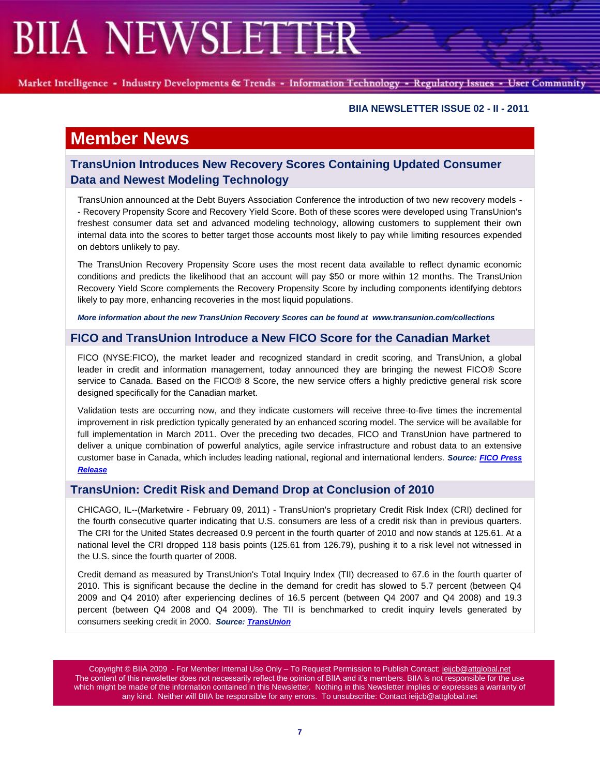Market Intelligence - Industry Developments & Trends - Information Technology - Regulatory Issues - User Community

#### **BIIA NEWSLETTER ISSUE 02 - II - 2011**

### **Member News**

### **TransUnion Introduces New Recovery Scores Containing Updated Consumer Data and Newest Modeling Technology**

TransUnion announced at the Debt Buyers Association Conference the introduction of two new recovery models - - Recovery Propensity Score and Recovery Yield Score. Both of these scores were developed using TransUnion's freshest consumer data set and advanced modeling technology, allowing customers to supplement their own internal data into the scores to better target those accounts most likely to pay while limiting resources expended on debtors unlikely to pay.

The TransUnion Recovery Propensity Score uses the most recent data available to reflect dynamic economic conditions and predicts the likelihood that an account will pay \$50 or more within 12 months. The TransUnion Recovery Yield Score complements the Recovery Propensity Score by including components identifying debtors likely to pay more, enhancing recoveries in the most liquid populations.

*More information about the new TransUnion Recovery Scores can be found at [www.transunion.com/collections](http://www.transunion.com/collections)* 

### **FICO and TransUnion Introduce a New FICO Score for the Canadian Market**

FICO (NYSE:FICO), the market leader and recognized standard in credit scoring, and TransUnion, a global leader in credit and information management, today announced they are bringing the newest FICO® Score service to Canada. Based on the FICO® 8 Score, the new service offers a highly predictive general risk score designed specifically for the Canadian market.

Validation tests are occurring now, and they indicate customers will receive three-to-five times the incremental improvement in risk prediction typically generated by an enhanced scoring model. The service will be available for full implementation in March 2011. Over the preceding two decades, FICO and TransUnion have partnered to deliver a unique combination of powerful analytics, agile service infrastructure and robust data to an extensive customer base in Canada, which includes leading national, regional and international lenders. *Source: [FICO Press](http://www.fico.com/en/Company/News/Pages/01-31-2011.aspx)  [Release](http://www.fico.com/en/Company/News/Pages/01-31-2011.aspx)*

### **TransUnion: Credit Risk and Demand Drop at Conclusion of 2010**

CHICAGO, IL--(Marketwire - February 09, 2011) - TransUnion's proprietary Credit Risk Index (CRI) declined for the fourth consecutive quarter indicating that U.S. consumers are less of a credit risk than in previous quarters. The CRI for the United States decreased 0.9 percent in the fourth quarter of 2010 and now stands at 125.61. At a national level the CRI dropped 118 basis points (125.61 from 126.79), pushing it to a risk level not witnessed in the U.S. since the fourth quarter of 2008.

Credit demand as measured by TransUnion's Total Inquiry Index (TII) decreased to 67.6 in the fourth quarter of 2010. This is significant because the decline in the demand for credit has slowed to 5.7 percent (between Q4 2009 and Q4 2010) after experiencing declines of 16.5 percent (between Q4 2007 and Q4 2008) and 19.3 percent (between Q4 2008 and Q4 2009). The TII is benchmarked to credit inquiry levels generated by consumers seeking credit in 2000. *Source[: TransUnion](http://www.transunion.com/trenddata)*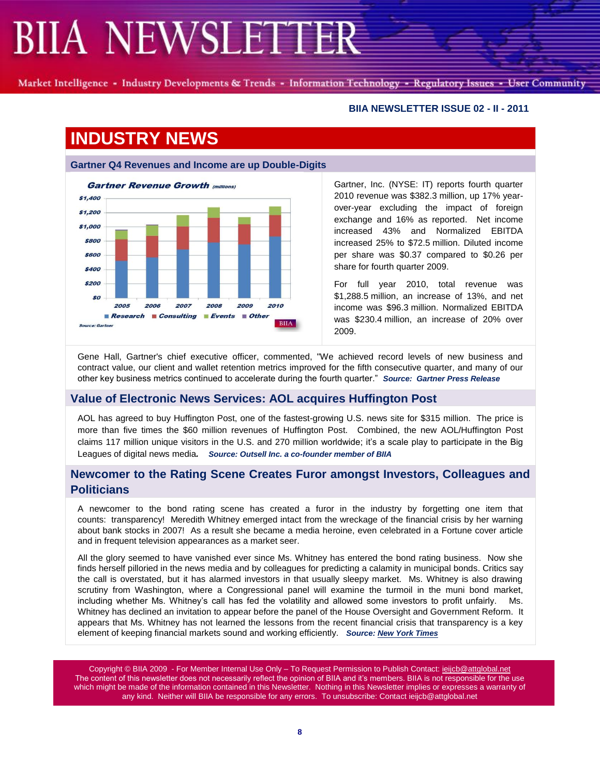Market Intelligence - Industry Developments & Trends - Information Technology - Regulatory Issues - User Community

### **BIIA NEWSLETTER ISSUE 02 - II - 2011**

## **INDUSTRY NEWS**

#### **Gartner Q4 Revenues and Income are up Double-Digits**



Gartner, Inc. (NYSE: IT) reports fourth quarter 2010 revenue was \$382.3 million, up 17% yearover-year excluding the impact of foreign exchange and 16% as reported. Net income increased 43% and Normalized EBITDA increased 25% to \$72.5 million. Diluted income per share was \$0.37 compared to \$0.26 per share for fourth quarter 2009.

For full year 2010, total revenue was \$1,288.5 million, an increase of 13%, and net income was \$96.3 million. Normalized EBITDA was \$230.4 million, an increase of 20% over 2009.

Gene Hall, Gartner's chief executive officer, commented, "We achieved record levels of new business and contract value, our client and wallet retention metrics improved for the fifth consecutive quarter, and many of our other key business metrics continued to accelerate during the fourth quarter.‖ *Source: Gartner Press Release*

### **Value of Electronic News Services: AOL acquires Huffington Post**

AOL has agreed to buy Huffington Post, one of the fastest-growing U.S. news site for \$315 million. The price is more than five times the \$60 million revenues of Huffington Post. Combined, the new AOL/Huffington Post claims 117 million unique visitors in the U.S. and 270 million worldwide; it's a scale play to participate in the Big Leagues of digital news media*. Source: Outsell Inc. a co-founder member of BIIA*

### **Newcomer to the Rating Scene Creates Furor amongst Investors, Colleagues and Politicians**

A newcomer to the bond rating scene has created a furor in the industry by forgetting one item that counts: transparency! Meredith Whitney emerged intact from the wreckage of the financial crisis by her warning about bank stocks in 2007! As a result she became a media heroine, even celebrated in a Fortune cover article and in frequent television appearances as a market seer.

All the glory seemed to have vanished ever since Ms. Whitney has entered the bond rating business. Now she finds herself pilloried in the news media and by colleagues for predicting a calamity in municipal bonds. Critics say the call is overstated, but it has alarmed investors in that usually sleepy market. Ms. Whitney is also drawing scrutiny from Washington, where a Congressional panel will examine the turmoil in the muni bond market, including whether Ms. Whitney's call has fed the volatility and allowed some investors to profit unfairly. Ms. Whitney has declined an invitation to appear before the panel of the House Oversight and Government Reform. It appears that Ms. Whitney has not learned the lessons from the recent financial crisis that transparency is a key element of keeping financial markets sound and working efficiently. *Source[: New York Times](http://www.nytimes.com/2011/02/08/business/economy/08whitney.html?_r=1&ref=todayspaper)*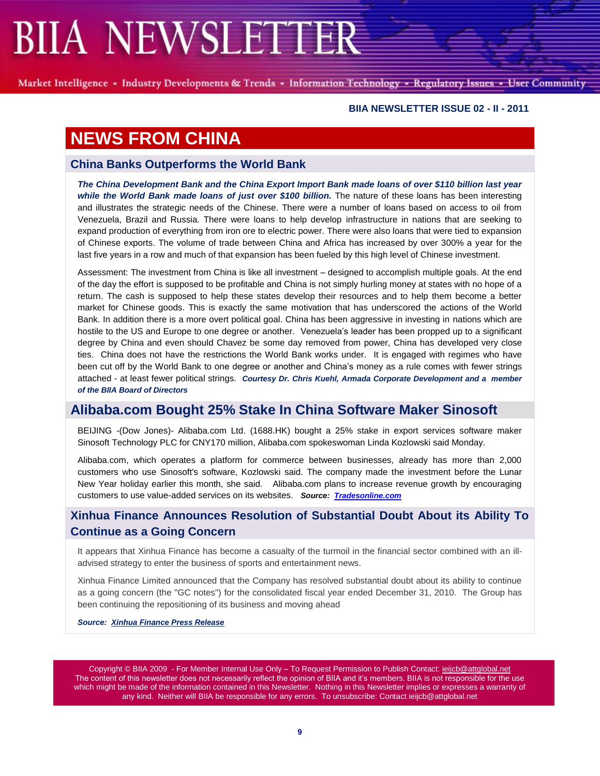Market Intelligence - Industry Developments & Trends - Information Technology - Regulatory Issues - User Community

#### **BIIA NEWSLETTER ISSUE 02 - II - 2011**

### **NEWS FROM CHINA**

### **China Banks Outperforms the World Bank**

*The China Development Bank and the China Export Import Bank made loans of over \$110 billion last year while the World Bank made loans of just over \$100 billion.* The nature of these loans has been interesting and illustrates the strategic needs of the Chinese. There were a number of loans based on access to oil from Venezuela, Brazil and Russia. There were loans to help develop infrastructure in nations that are seeking to expand production of everything from iron ore to electric power. There were also loans that were tied to expansion of Chinese exports. The volume of trade between China and Africa has increased by over 300% a year for the last five years in a row and much of that expansion has been fueled by this high level of Chinese investment.

Assessment: The investment from China is like all investment – designed to accomplish multiple goals. At the end of the day the effort is supposed to be profitable and China is not simply hurling money at states with no hope of a return. The cash is supposed to help these states develop their resources and to help them become a better market for Chinese goods. This is exactly the same motivation that has underscored the actions of the World Bank. In addition there is a more overt political goal. China has been aggressive in investing in nations which are hostile to the US and Europe to one degree or another. Venezuela's leader has been propped up to a significant degree by China and even should Chavez be some day removed from power, China has developed very close ties. China does not have the restrictions the World Bank works under. It is engaged with regimes who have been cut off by the World Bank to one degree or another and China's money as a rule comes with fewer strings attached - at least fewer political strings. *Courtesy Dr. Chris Kuehl, Armada Corporate Development and a member of the BIIA Board of Directors*

### **Alibaba.com Bought 25% Stake In China Software Maker Sinosoft**

BEIJING -(Dow Jones)- Alibaba.com Ltd. (1688.HK) bought a 25% stake in export services software maker Sinosoft Technology PLC for CNY170 million, Alibaba.com spokeswoman Linda Kozlowski said Monday.

Alibaba.com, which operates a platform for commerce between businesses, already has more than 2,000 customers who use Sinosoft's software, Kozlowski said. The company made the investment before the Lunar New Year holiday earlier this month, she said. Alibaba.com plans to increase revenue growth by encouraging customers to use value-added services on its websites. *Source: [Tradesonline.com](http://www.tradesignalonline.com/charts/news.aspx?id=752293&filter=&catid=0)*

### **Xinhua Finance Announces Resolution of Substantial Doubt About its Ability To Continue as a Going Concern**

It appears that Xinhua Finance has become a casualty of the turmoil in the financial sector combined with an illadvised strategy to enter the business of sports and entertainment news.

Xinhua Finance Limited announced that the Company has resolved substantial doubt about its ability to continue as a going concern (the "GC notes") for the consolidated fiscal year ended December 31, 2010. The Group has been continuing the repositioning of its business and moving ahead

*Source: [Xinhua Finance Press Release](http://www.xinhuafinance.com/en/)*